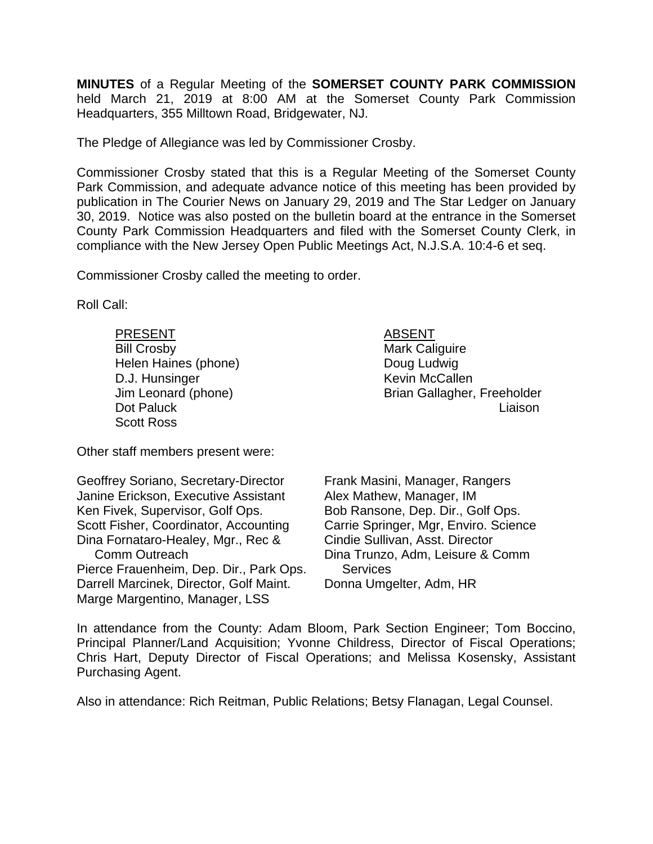**MINUTES** of a Regular Meeting of the **SOMERSET COUNTY PARK COMMISSION** held March 21, 2019 at 8:00 AM at the Somerset County Park Commission Headquarters, 355 Milltown Road, Bridgewater, NJ.

The Pledge of Allegiance was led by Commissioner Crosby.

Commissioner Crosby stated that this is a Regular Meeting of the Somerset County Park Commission, and adequate advance notice of this meeting has been provided by publication in The Courier News on January 29, 2019 and The Star Ledger on January 30, 2019. Notice was also posted on the bulletin board at the entrance in the Somerset County Park Commission Headquarters and filed with the Somerset County Clerk, in compliance with the New Jersey Open Public Meetings Act, N.J.S.A. 10:4-6 et seq.

Commissioner Crosby called the meeting to order.

Roll Call:

PRESENT ABSENT Bill Crosby **Mark Caliguire** Mark Caliguire Helen Haines (phone) **Example 2** Doug Ludwig D.J. Hunsinger News Allen McCallen Scott Ross

 Jim Leonard (phone) Brian Gallagher, Freeholder Dot Paluck Liaison

Other staff members present were:

| Geoffrey Soriano, Secretary-Director    |
|-----------------------------------------|
| Janine Erickson, Executive Assistant    |
| Ken Fivek, Supervisor, Golf Ops.        |
| Scott Fisher, Coordinator, Accounting   |
| Dina Fornataro-Healey, Mgr., Rec &      |
| <b>Comm Outreach</b>                    |
| Pierce Frauenheim, Dep. Dir., Park Ops. |
| Darrell Marcinek, Director, Golf Maint. |
| Marge Margentino, Manager, LSS          |

Frank Masini, Manager, Rangers Alex Mathew, Manager, IM Bob Ransone, Dep. Dir., Golf Ops. Carrie Springer, Mgr, Enviro. Science Cindie Sullivan, Asst. Director Dina Trunzo, Adm, Leisure & Comm **Services** Donna Umgelter, Adm, HR

In attendance from the County: Adam Bloom, Park Section Engineer; Tom Boccino, Principal Planner/Land Acquisition; Yvonne Childress, Director of Fiscal Operations; Chris Hart, Deputy Director of Fiscal Operations; and Melissa Kosensky, Assistant Purchasing Agent.

Also in attendance: Rich Reitman, Public Relations; Betsy Flanagan, Legal Counsel.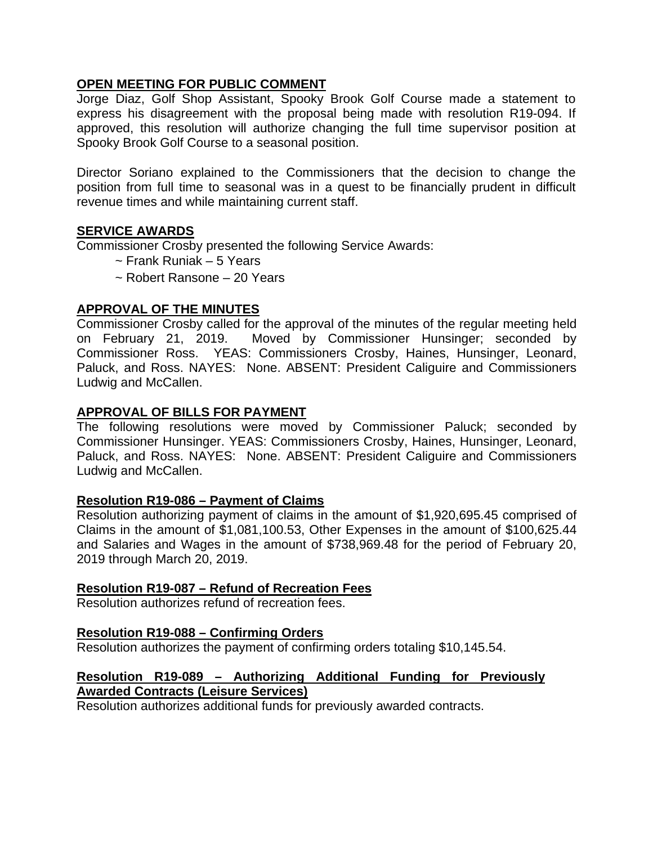### **OPEN MEETING FOR PUBLIC COMMENT**

Jorge Diaz, Golf Shop Assistant, Spooky Brook Golf Course made a statement to express his disagreement with the proposal being made with resolution R19-094. If approved, this resolution will authorize changing the full time supervisor position at Spooky Brook Golf Course to a seasonal position.

Director Soriano explained to the Commissioners that the decision to change the position from full time to seasonal was in a quest to be financially prudent in difficult revenue times and while maintaining current staff.

#### **SERVICE AWARDS**

Commissioner Crosby presented the following Service Awards:

- ~ Frank Runiak 5 Years
- ~ Robert Ransone 20 Years

### **APPROVAL OF THE MINUTES**

Commissioner Crosby called for the approval of the minutes of the regular meeting held on February 21, 2019. Moved by Commissioner Hunsinger; seconded by Commissioner Ross. YEAS: Commissioners Crosby, Haines, Hunsinger, Leonard, Paluck, and Ross. NAYES: None. ABSENT: President Caliguire and Commissioners Ludwig and McCallen.

### **APPROVAL OF BILLS FOR PAYMENT**

The following resolutions were moved by Commissioner Paluck; seconded by Commissioner Hunsinger. YEAS: Commissioners Crosby, Haines, Hunsinger, Leonard, Paluck, and Ross. NAYES: None. ABSENT: President Caliguire and Commissioners Ludwig and McCallen.

#### **Resolution R19-086 – Payment of Claims**

Resolution authorizing payment of claims in the amount of \$1,920,695.45 comprised of Claims in the amount of \$1,081,100.53, Other Expenses in the amount of \$100,625.44 and Salaries and Wages in the amount of \$738,969.48 for the period of February 20, 2019 through March 20, 2019.

#### **Resolution R19-087 – Refund of Recreation Fees**

Resolution authorizes refund of recreation fees.

#### **Resolution R19-088 – Confirming Orders**

Resolution authorizes the payment of confirming orders totaling \$10,145.54.

## **Resolution R19-089 – Authorizing Additional Funding for Previously Awarded Contracts (Leisure Services)**

Resolution authorizes additional funds for previously awarded contracts.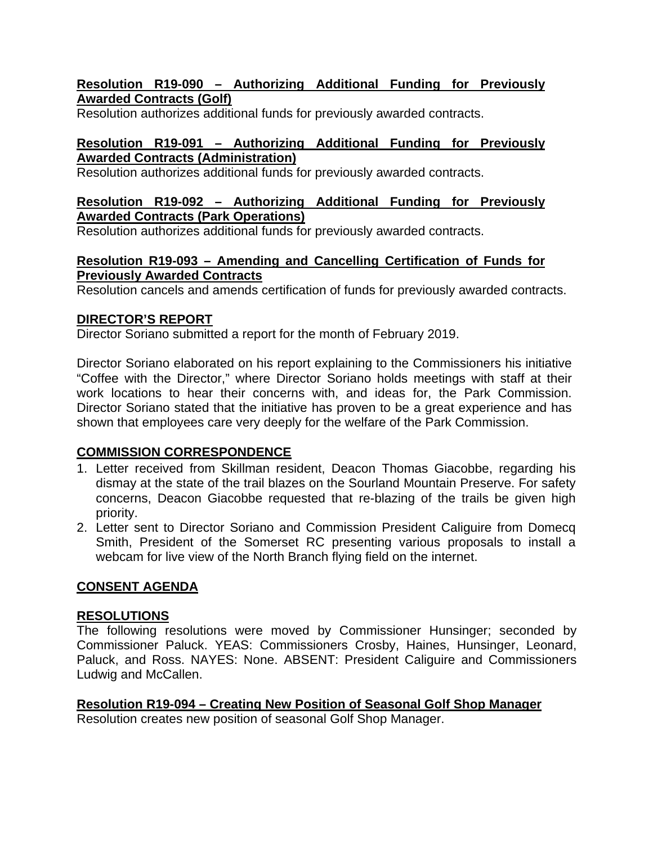### **Resolution R19-090 – Authorizing Additional Funding for Previously Awarded Contracts (Golf)**

Resolution authorizes additional funds for previously awarded contracts.

## **Resolution R19-091 – Authorizing Additional Funding for Previously Awarded Contracts (Administration)**

Resolution authorizes additional funds for previously awarded contracts.

### **Resolution R19-092 – Authorizing Additional Funding for Previously Awarded Contracts (Park Operations)**

Resolution authorizes additional funds for previously awarded contracts.

### **Resolution R19-093 – Amending and Cancelling Certification of Funds for Previously Awarded Contracts**

Resolution cancels and amends certification of funds for previously awarded contracts.

# **DIRECTOR'S REPORT**

Director Soriano submitted a report for the month of February 2019.

Director Soriano elaborated on his report explaining to the Commissioners his initiative "Coffee with the Director," where Director Soriano holds meetings with staff at their work locations to hear their concerns with, and ideas for, the Park Commission. Director Soriano stated that the initiative has proven to be a great experience and has shown that employees care very deeply for the welfare of the Park Commission.

## **COMMISSION CORRESPONDENCE**

- 1. Letter received from Skillman resident, Deacon Thomas Giacobbe, regarding his dismay at the state of the trail blazes on the Sourland Mountain Preserve. For safety concerns, Deacon Giacobbe requested that re-blazing of the trails be given high priority.
- 2. Letter sent to Director Soriano and Commission President Caliguire from Domecq Smith, President of the Somerset RC presenting various proposals to install a webcam for live view of the North Branch flying field on the internet.

# **CONSENT AGENDA**

## **RESOLUTIONS**

The following resolutions were moved by Commissioner Hunsinger; seconded by Commissioner Paluck. YEAS: Commissioners Crosby, Haines, Hunsinger, Leonard, Paluck, and Ross. NAYES: None. ABSENT: President Caliguire and Commissioners Ludwig and McCallen.

**Resolution R19-094 – Creating New Position of Seasonal Golf Shop Manager**  Resolution creates new position of seasonal Golf Shop Manager.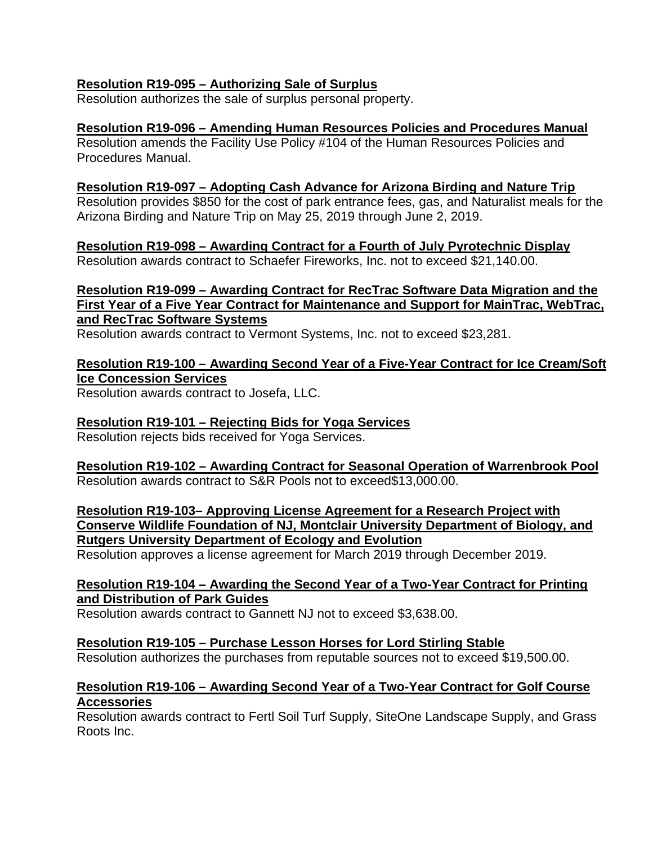### **Resolution R19-095 – Authorizing Sale of Surplus**

Resolution authorizes the sale of surplus personal property.

### **Resolution R19-096 – Amending Human Resources Policies and Procedures Manual**

Resolution amends the Facility Use Policy #104 of the Human Resources Policies and Procedures Manual.

### **Resolution R19-097 – Adopting Cash Advance for Arizona Birding and Nature Trip**

Resolution provides \$850 for the cost of park entrance fees, gas, and Naturalist meals for the Arizona Birding and Nature Trip on May 25, 2019 through June 2, 2019.

**Resolution R19-098 – Awarding Contract for a Fourth of July Pyrotechnic Display** Resolution awards contract to Schaefer Fireworks, Inc. not to exceed \$21,140.00.

## **Resolution R19-099 – Awarding Contract for RecTrac Software Data Migration and the First Year of a Five Year Contract for Maintenance and Support for MainTrac, WebTrac, and RecTrac Software Systems**

Resolution awards contract to Vermont Systems, Inc. not to exceed \$23,281.

## **Resolution R19-100 – Awarding Second Year of a Five-Year Contract for Ice Cream/Soft Ice Concession Services**

Resolution awards contract to Josefa, LLC.

## **Resolution R19-101 – Rejecting Bids for Yoga Services**

Resolution rejects bids received for Yoga Services.

### **Resolution R19-102 – Awarding Contract for Seasonal Operation of Warrenbrook Pool**  Resolution awards contract to S&R Pools not to exceed\$13,000.00.

**Resolution R19-103– Approving License Agreement for a Research Project with Conserve Wildlife Foundation of NJ, Montclair University Department of Biology, and Rutgers University Department of Ecology and Evolution** 

Resolution approves a license agreement for March 2019 through December 2019.

#### **Resolution R19-104 – Awarding the Second Year of a Two-Year Contract for Printing and Distribution of Park Guides**

Resolution awards contract to Gannett NJ not to exceed \$3,638.00.

#### **Resolution R19-105 – Purchase Lesson Horses for Lord Stirling Stable**

Resolution authorizes the purchases from reputable sources not to exceed \$19,500.00.

#### **Resolution R19-106 – Awarding Second Year of a Two-Year Contract for Golf Course Accessories**

Resolution awards contract to Fertl Soil Turf Supply, SiteOne Landscape Supply, and Grass Roots Inc.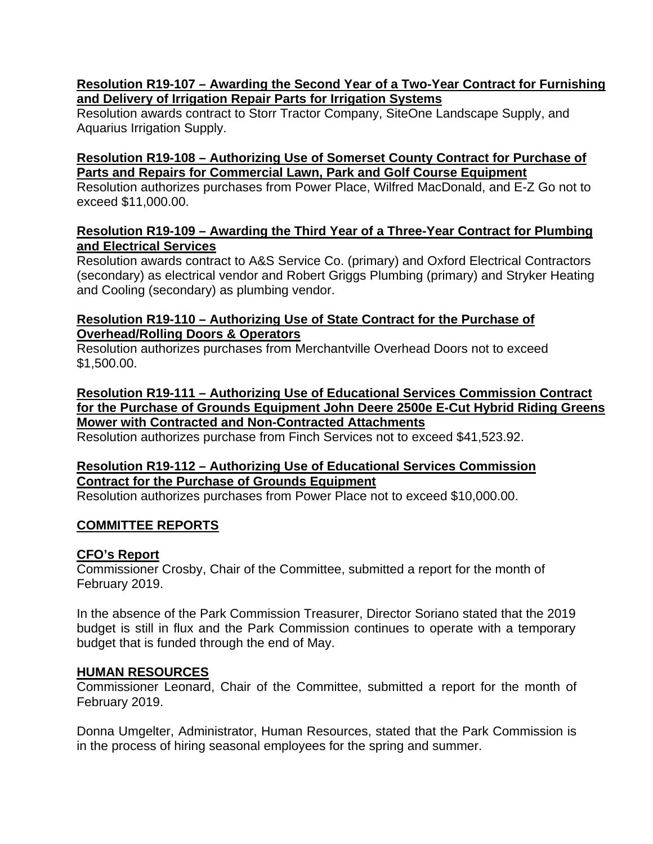### **Resolution R19-107 – Awarding the Second Year of a Two-Year Contract for Furnishing and Delivery of Irrigation Repair Parts for Irrigation Systems**

Resolution awards contract to Storr Tractor Company, SiteOne Landscape Supply, and Aquarius Irrigation Supply.

### **Resolution R19-108 – Authorizing Use of Somerset County Contract for Purchase of Parts and Repairs for Commercial Lawn, Park and Golf Course Equipment**

Resolution authorizes purchases from Power Place, Wilfred MacDonald, and E-Z Go not to exceed \$11,000.00.

### **Resolution R19-109 – Awarding the Third Year of a Three-Year Contract for Plumbing and Electrical Services**

Resolution awards contract to A&S Service Co. (primary) and Oxford Electrical Contractors (secondary) as electrical vendor and Robert Griggs Plumbing (primary) and Stryker Heating and Cooling (secondary) as plumbing vendor.

## **Resolution R19-110 – Authorizing Use of State Contract for the Purchase of Overhead/Rolling Doors & Operators**

Resolution authorizes purchases from Merchantville Overhead Doors not to exceed \$1,500.00.

### **Resolution R19-111 – Authorizing Use of Educational Services Commission Contract for the Purchase of Grounds Equipment John Deere 2500e E-Cut Hybrid Riding Greens Mower with Contracted and Non-Contracted Attachments**

Resolution authorizes purchase from Finch Services not to exceed \$41,523.92.

# **Resolution R19-112 – Authorizing Use of Educational Services Commission Contract for the Purchase of Grounds Equipment**

Resolution authorizes purchases from Power Place not to exceed \$10,000.00.

## **COMMITTEE REPORTS**

## **CFO's Report**

Commissioner Crosby, Chair of the Committee, submitted a report for the month of February 2019.

In the absence of the Park Commission Treasurer, Director Soriano stated that the 2019 budget is still in flux and the Park Commission continues to operate with a temporary budget that is funded through the end of May.

## **HUMAN RESOURCES**

Commissioner Leonard, Chair of the Committee, submitted a report for the month of February 2019.

Donna Umgelter, Administrator, Human Resources, stated that the Park Commission is in the process of hiring seasonal employees for the spring and summer.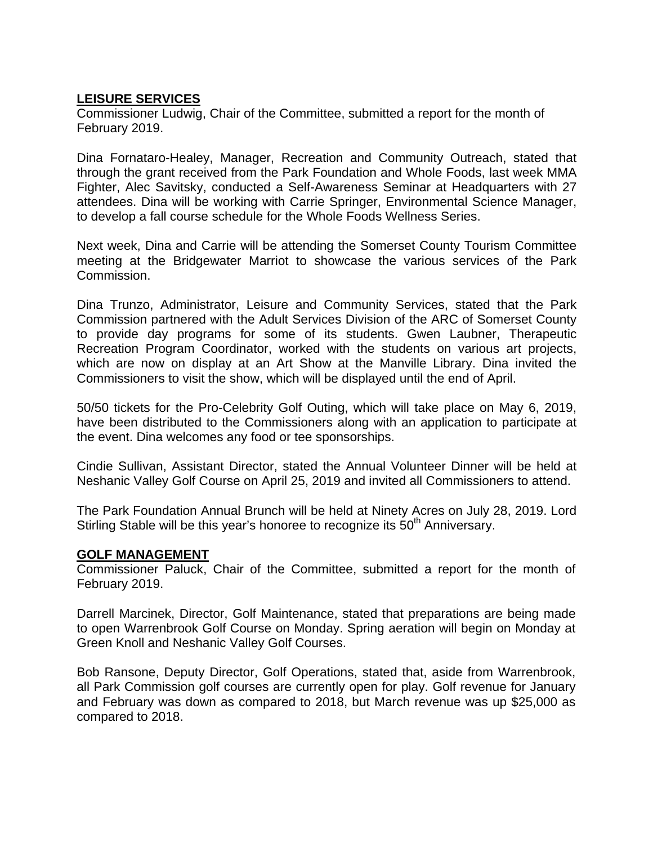## **LEISURE SERVICES**

Commissioner Ludwig, Chair of the Committee, submitted a report for the month of February 2019.

Dina Fornataro-Healey, Manager, Recreation and Community Outreach, stated that through the grant received from the Park Foundation and Whole Foods, last week MMA Fighter, Alec Savitsky, conducted a Self-Awareness Seminar at Headquarters with 27 attendees. Dina will be working with Carrie Springer, Environmental Science Manager, to develop a fall course schedule for the Whole Foods Wellness Series.

Next week, Dina and Carrie will be attending the Somerset County Tourism Committee meeting at the Bridgewater Marriot to showcase the various services of the Park Commission.

Dina Trunzo, Administrator, Leisure and Community Services, stated that the Park Commission partnered with the Adult Services Division of the ARC of Somerset County to provide day programs for some of its students. Gwen Laubner, Therapeutic Recreation Program Coordinator, worked with the students on various art projects, which are now on display at an Art Show at the Manville Library. Dina invited the Commissioners to visit the show, which will be displayed until the end of April.

50/50 tickets for the Pro-Celebrity Golf Outing, which will take place on May 6, 2019, have been distributed to the Commissioners along with an application to participate at the event. Dina welcomes any food or tee sponsorships.

Cindie Sullivan, Assistant Director, stated the Annual Volunteer Dinner will be held at Neshanic Valley Golf Course on April 25, 2019 and invited all Commissioners to attend.

The Park Foundation Annual Brunch will be held at Ninety Acres on July 28, 2019. Lord Stirling Stable will be this year's honoree to recognize its 50<sup>th</sup> Anniversary.

#### **GOLF MANAGEMENT**

Commissioner Paluck, Chair of the Committee, submitted a report for the month of February 2019.

Darrell Marcinek, Director, Golf Maintenance, stated that preparations are being made to open Warrenbrook Golf Course on Monday. Spring aeration will begin on Monday at Green Knoll and Neshanic Valley Golf Courses.

Bob Ransone, Deputy Director, Golf Operations, stated that, aside from Warrenbrook, all Park Commission golf courses are currently open for play. Golf revenue for January and February was down as compared to 2018, but March revenue was up \$25,000 as compared to 2018.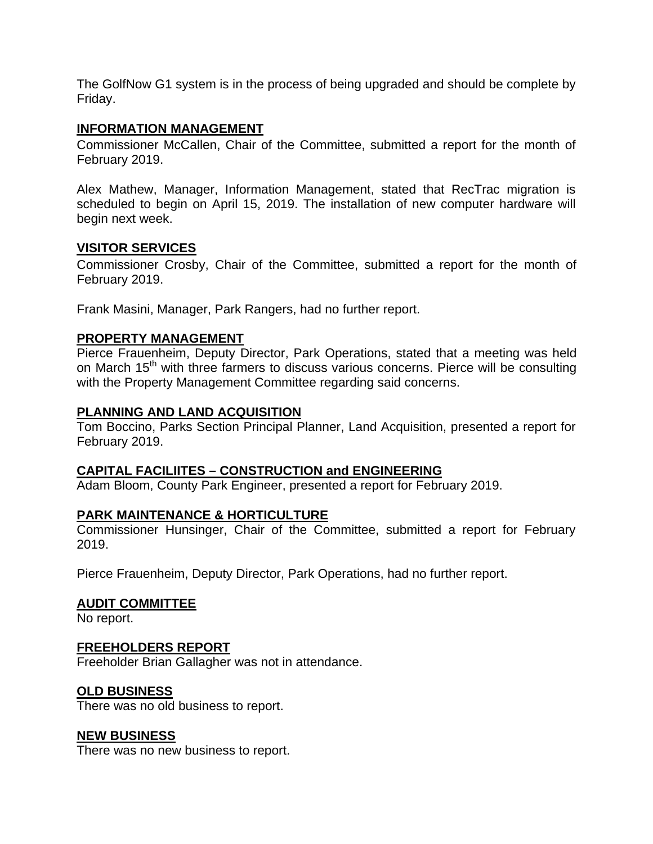The GolfNow G1 system is in the process of being upgraded and should be complete by Friday.

#### **INFORMATION MANAGEMENT**

Commissioner McCallen, Chair of the Committee, submitted a report for the month of February 2019.

Alex Mathew, Manager, Information Management, stated that RecTrac migration is scheduled to begin on April 15, 2019. The installation of new computer hardware will begin next week.

#### **VISITOR SERVICES**

Commissioner Crosby, Chair of the Committee, submitted a report for the month of February 2019.

Frank Masini, Manager, Park Rangers, had no further report.

#### **PROPERTY MANAGEMENT**

Pierce Frauenheim, Deputy Director, Park Operations, stated that a meeting was held on March 15<sup>th</sup> with three farmers to discuss various concerns. Pierce will be consulting with the Property Management Committee regarding said concerns.

#### **PLANNING AND LAND ACQUISITION**

Tom Boccino, Parks Section Principal Planner, Land Acquisition, presented a report for February 2019.

#### **CAPITAL FACILIITES – CONSTRUCTION and ENGINEERING**

Adam Bloom, County Park Engineer, presented a report for February 2019.

#### **PARK MAINTENANCE & HORTICULTURE**

Commissioner Hunsinger, Chair of the Committee, submitted a report for February 2019.

Pierce Frauenheim, Deputy Director, Park Operations, had no further report.

#### **AUDIT COMMITTEE**

No report.

#### **FREEHOLDERS REPORT**

Freeholder Brian Gallagher was not in attendance.

#### **OLD BUSINESS**

There was no old business to report.

#### **NEW BUSINESS**

There was no new business to report.